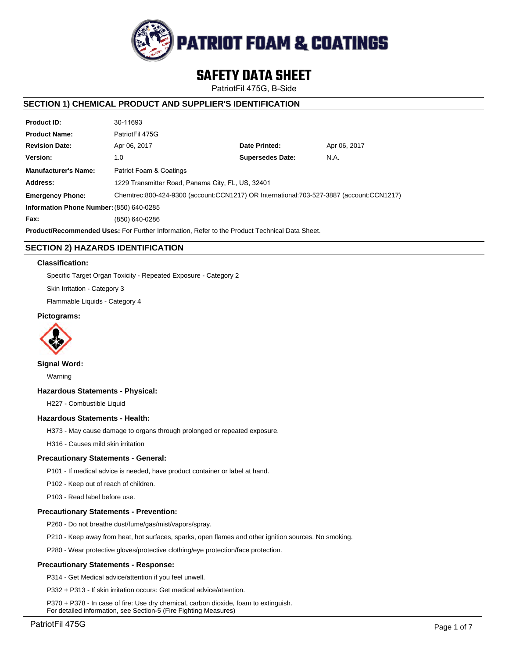

# **SAFETY DATA SHEET**

PatriotFil 475G, B-Side

# **SECTION 1) CHEMICAL PRODUCT AND SUPPLIER'S IDENTIFICATION**

| <b>Product ID:</b>                                                                                                 | 30-11693                                          |                         |              |  |  |  |
|--------------------------------------------------------------------------------------------------------------------|---------------------------------------------------|-------------------------|--------------|--|--|--|
| <b>Product Name:</b>                                                                                               | PatriotFil 475G                                   |                         |              |  |  |  |
| <b>Revision Date:</b>                                                                                              | Apr 06, 2017                                      | Date Printed:           | Apr 06, 2017 |  |  |  |
| Version:                                                                                                           | 1.0                                               | <b>Supersedes Date:</b> | N.A.         |  |  |  |
| <b>Manufacturer's Name:</b>                                                                                        | Patriot Foam & Coatings                           |                         |              |  |  |  |
| Address:                                                                                                           | 1229 Transmitter Road, Panama City, FL, US, 32401 |                         |              |  |  |  |
| Chemtrec:800-424-9300 (account:CCN1217) OR International:703-527-3887 (account:CCN1217)<br><b>Emergency Phone:</b> |                                                   |                         |              |  |  |  |
| Information Phone Number: (850) 640-0285                                                                           |                                                   |                         |              |  |  |  |
| Fax:                                                                                                               | (850) 640-0286                                    |                         |              |  |  |  |
| <b>Product/Recommended Uses:</b> For Further Information, Refer to the Product Technical Data Sheet.               |                                                   |                         |              |  |  |  |

# **SECTION 2) HAZARDS IDENTIFICATION**

# **Classification:**

Specific Target Organ Toxicity - Repeated Exposure - Category 2

Skin Irritation - Category 3

Flammable Liquids - Category 4

# **Pictograms:**



**Signal Word:**

Warning

## **Hazardous Statements - Physical:**

H227 - Combustible Liquid

## **Hazardous Statements - Health:**

H373 - May cause damage to organs through prolonged or repeated exposure.

H316 - Causes mild skin irritation

## **Precautionary Statements - General:**

P101 - If medical advice is needed, have product container or label at hand.

P102 - Keep out of reach of children.

P103 - Read label before use.

## **Precautionary Statements - Prevention:**

P260 - Do not breathe dust/fume/gas/mist/vapors/spray.

P210 - Keep away from heat, hot surfaces, sparks, open flames and other ignition sources. No smoking.

P280 - Wear protective gloves/protective clothing/eye protection/face protection.

## **Precautionary Statements - Response:**

P314 - Get Medical advice/attention if you feel unwell.

P332 + P313 - If skin irritation occurs: Get medical advice/attention.

P370 + P378 - In case of fire: Use dry chemical, carbon dioxide, foam to extinguish. For detailed information, see Section-5 (Fire Fighting Measures)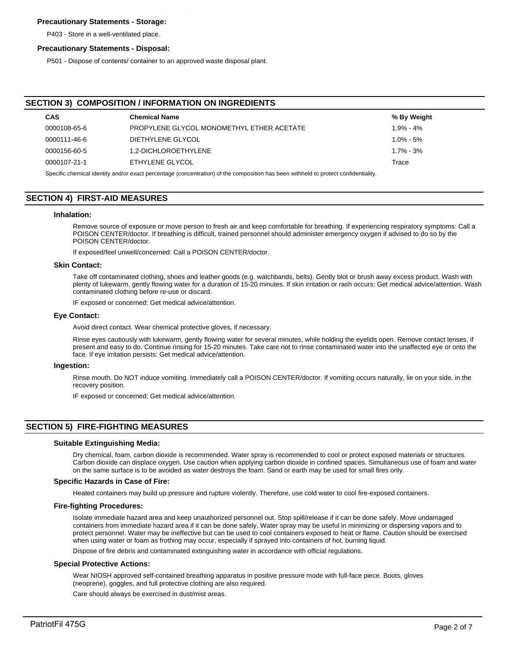# **Precautionary Statements - Storage:**

P403 - Store in a well-ventilated place.

#### **Precautionary Statements - Disposal:**

P501 - Dispose of contents/ container to an approved waste disposal plant.

# **SECTION 3) COMPOSITION / INFORMATION ON INGREDIENTS**

| <b>CAS</b>                                                                                                                            | <b>Chemical Name</b>                      | % By Weight   |  |  |  |
|---------------------------------------------------------------------------------------------------------------------------------------|-------------------------------------------|---------------|--|--|--|
| 0000108-65-6                                                                                                                          | PROPYLENE GLYCOL MONOMETHYL ETHER ACETATE | $1.9\% - 4\%$ |  |  |  |
| 0000111-46-6                                                                                                                          | DIETHYLENE GLYCOL                         | $1.0\% - 5\%$ |  |  |  |
| 0000156-60-5                                                                                                                          | 1.2-DICHLOROETHYLENE                      | $1.7\% - 3\%$ |  |  |  |
| 0000107-21-1                                                                                                                          | ETHYLENE GLYCOL                           | Trace         |  |  |  |
| Consider the probability and a superior organization (consented in a) of the composition has been withhold to protect confidentiality |                                           |               |  |  |  |

ecific chemical identity and/or exact percentage (concentration) of the composition has been withheld to protect confidentiality.

# **SECTION 4) FIRST-AID MEASURES**

#### **Inhalation:**

Remove source of exposure or move person to fresh air and keep comfortable for breathing. If experiencing respiratory symptoms: Call a POISON CENTER/doctor. If breathing is difficult, trained personnel should administer emergency oxygen if advised to do so by the POISON CENTER/doctor.

If exposed/feel unwell/concerned: Call a POISON CENTER/doctor.

#### **Skin Contact:**

Take off contaminated clothing, shoes and leather goods (e.g. watchbands, belts). Gently blot or brush away excess product. Wash with plenty of lukewarm, gently flowing water for a duration of 15-20 minutes. If skin irritation or rash occurs: Get medical advice/attention. Wash contaminated clothing before re-use or discard.

IF exposed or concerned: Get medical advice/attention.

#### **Eye Contact:**

Avoid direct contact. Wear chemical protective gloves, if necessary.

Rinse eyes cautiously with lukewarm, gently flowing water for several minutes, while holding the eyelids open. Remove contact lenses, if present and easy to do. Continue rinsing for 15-20 minutes. Take care not to rinse contaminated water into the unaffected eye or onto the face. If eye irritation persists: Get medical advice/attention.

#### **Ingestion:**

Rinse mouth. Do NOT induce vomiting. Immediately call a POISON CENTER/doctor. If vomiting occurs naturally, lie on your side, in the recovery position.

IF exposed or concerned: Get medical advice/attention.

## **SECTION 5) FIRE-FIGHTING MEASURES**

#### **Suitable Extinguishing Media:**

Dry chemical, foam, carbon dioxide is recommended. Water spray is recommended to cool or protect exposed materials or structures. Carbon dioxide can displace oxygen. Use caution when applying carbon dioxide in confined spaces. Simultaneous use of foam and water on the same surface is to be avoided as water destroys the foam. Sand or earth may be used for small fires only.

#### **Specific Hazards in Case of Fire:**

Heated containers may build up pressure and rupture violently. Therefore, use cold water to cool fire-exposed containers.

#### **Fire-fighting Procedures:**

Isolate immediate hazard area and keep unauthorized personnel out. Stop spill/release if it can be done safely. Move undamaged containers from immediate hazard area if it can be done safely. Water spray may be useful in minimizing or dispersing vapors and to protect personnel. Water may be ineffective but can be used to cool containers exposed to heat or flame. Caution should be exercised when using water or foam as frothing may occur, especially if sprayed into containers of hot, burning liquid.

Dispose of fire debris and contaminated extinguishing water in accordance with official regulations.

#### **Special Protective Actions:**

Wear NIOSH approved self-contained breathing apparatus in positive pressure mode with full-face piece. Boots, gloves (neoprene), goggles, and full protective clothing are also required.

Care should always be exercised in dust/mist areas.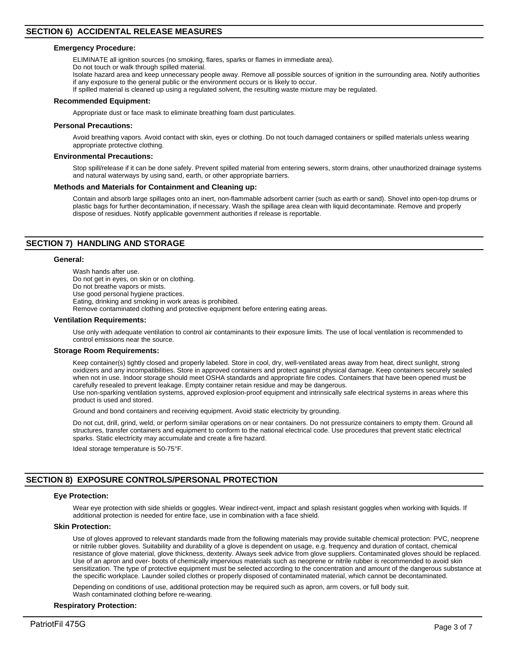#### **Emergency Procedure:**

ELIMINATE all ignition sources (no smoking, flares, sparks or flames in immediate area).

- Do not touch or walk through spilled material.
- Isolate hazard area and keep unnecessary people away. Remove all possible sources of ignition in the surrounding area. Notify authorities if any exposure to the general public or the environment occurs or is likely to occur.
- If spilled material is cleaned up using a regulated solvent, the resulting waste mixture may be regulated.

#### **Recommended Equipment:**

Appropriate dust or face mask to eliminate breathing foam dust particulates.

#### **Personal Precautions:**

Avoid breathing vapors. Avoid contact with skin, eyes or clothing. Do not touch damaged containers or spilled materials unless wearing appropriate protective clothing.

#### **Environmental Precautions:**

Stop spill/release if it can be done safely. Prevent spilled material from entering sewers, storm drains, other unauthorized drainage systems and natural waterways by using sand, earth, or other appropriate barriers.

# **Methods and Materials for Containment and Cleaning up:**

Contain and absorb large spillages onto an inert, non-flammable adsorbent carrier (such as earth or sand). Shovel into open-top drums or plastic bags for further decontamination, if necessary. Wash the spillage area clean with liquid decontaminate. Remove and properly dispose of residues. Notify applicable government authorities if release is reportable.

## **SECTION 7) HANDLING AND STORAGE**

#### **General:**

Wash hands after use. Do not get in eyes, on skin or on clothing. Do not breathe vapors or mists. Use good personal hygiene practices. Eating, drinking and smoking in work areas is prohibited. Remove contaminated clothing and protective equipment before entering eating areas.

#### **Ventilation Requirements:**

Use only with adequate ventilation to control air contaminants to their exposure limits. The use of local ventilation is recommended to control emissions near the source.

#### **Storage Room Requirements:**

Keep container(s) tightly closed and properly labeled. Store in cool, dry, well-ventilated areas away from heat, direct sunlight, strong oxidizers and any incompatibilities. Store in approved containers and protect against physical damage. Keep containers securely sealed when not in use. Indoor storage should meet OSHA standards and appropriate fire codes. Containers that have been opened must be carefully resealed to prevent leakage. Empty container retain residue and may be dangerous.

Use non-sparking ventilation systems, approved explosion-proof equipment and intrinsically safe electrical systems in areas where this product is used and stored.

Ground and bond containers and receiving equipment. Avoid static electricity by grounding.

Do not cut, drill, grind, weld, or perform similar operations on or near containers. Do not pressurize containers to empty them. Ground all structures, transfer containers and equipment to conform to the national electrical code. Use procedures that prevent static electrical sparks. Static electricity may accumulate and create a fire hazard.

Ideal storage temperature is 50-75°F.

# **SECTION 8) EXPOSURE CONTROLS/PERSONAL PROTECTION**

# **Eye Protection:**

Wear eye protection with side shields or goggles. Wear indirect-vent, impact and splash resistant goggles when working with liquids. If additional protection is needed for entire face, use in combination with a face shield.

# **Skin Protection:**

Use of gloves approved to relevant standards made from the following materials may provide suitable chemical protection: PVC, neoprene or nitrile rubber gloves. Suitability and durability of a glove is dependent on usage, e.g. frequency and duration of contact, chemical resistance of glove material, glove thickness, dexterity. Always seek advice from glove suppliers. Contaminated gloves should be replaced. Use of an apron and over- boots of chemically impervious materials such as neoprene or nitrile rubber is recommended to avoid skin sensitization. The type of protective equipment must be selected according to the concentration and amount of the dangerous substance at the specific workplace. Launder soiled clothes or properly disposed of contaminated material, which cannot be decontaminated.

Depending on conditions of use, additional protection may be required such as apron, arm covers, or full body suit. Wash contaminated clothing before re-wearing.

#### **Respiratory Protection:**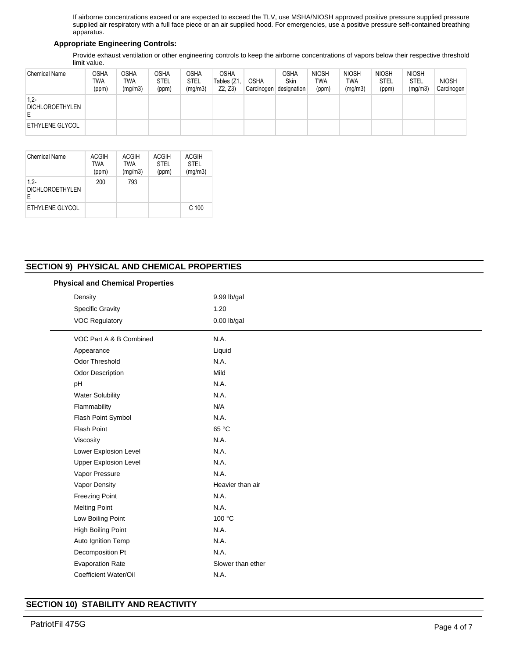If airborne concentrations exceed or are expected to exceed the TLV, use MSHA/NIOSH approved positive pressure supplied pressure supplied air respiratory with a full face piece or an air supplied hood. For emergencies, use a positive pressure self-contained breathing apparatus.

# **Appropriate Engineering Controls:**

Provide exhaust ventilation or other engineering controls to keep the airborne concentrations of vapors below their respective threshold limit value.

| <b>Chemical Name</b>      | OSHA<br><b>TWA</b><br>(ppm) | <b>OSHA</b><br><b>TWA</b><br>(mg/m3) | <b>OSHA</b><br>STEL<br>(ppm) | OSHA<br>STEL<br>(mg/m3) | <b>OSHA</b><br>Tables (Z1,<br>Z2, Z3 | <b>OSHA</b><br>Carcinogen | OSHA<br><b>Skin</b><br>designation | <b>NIOSH</b><br><b>TWA</b><br>(ppm) | <b>NIOSH</b><br><b>TWA</b><br>(mg/m3) | <b>NIOSH</b><br><b>STEL</b><br>(ppm) | <b>NIOSH</b><br><b>STEL</b><br>(mg/m3) | <b>NIOSH</b><br>Carcinogen |
|---------------------------|-----------------------------|--------------------------------------|------------------------------|-------------------------|--------------------------------------|---------------------------|------------------------------------|-------------------------------------|---------------------------------------|--------------------------------------|----------------------------------------|----------------------------|
| $1,2-$<br>DICHLOROETHYLEN |                             |                                      |                              |                         |                                      |                           |                                    |                                     |                                       |                                      |                                        |                            |
| ETHYLENE GLYCOL           |                             |                                      |                              |                         |                                      |                           |                                    |                                     |                                       |                                      |                                        |                            |

| Chemical Name                         | <b>ACGIH</b><br><b>TWA</b><br>(ppm) | <b>ACGIH</b><br><b>TWA</b><br>(mg/m3) | <b>ACGIH</b><br><b>STEL</b><br>(ppm) | <b>ACGIH</b><br><b>STEL</b><br>(mg/m3) |
|---------------------------------------|-------------------------------------|---------------------------------------|--------------------------------------|----------------------------------------|
| $1,2-$<br><b>DICHLOROETHYLEN</b><br>E | 200                                 | 793                                   |                                      |                                        |
| ETHYLENE GLYCOL                       |                                     |                                       |                                      | C <sub>100</sub>                       |

# **SECTIO**

Evaporation Rate Slower than ether

Coefficient Water/Oil N.A.

**SECTION 10) STABILITY AND REACTIVITY**

| ON 9) PHYSICAL AND CHEMICAL PROPERTIES  |                  |  |  |
|-----------------------------------------|------------------|--|--|
| <b>Physical and Chemical Properties</b> |                  |  |  |
| Density                                 | 9.99 lb/gal      |  |  |
| <b>Specific Gravity</b>                 | 1.20             |  |  |
| <b>VOC Regulatory</b>                   | $0.00$ lb/gal    |  |  |
| VOC Part A & B Combined                 | N.A.             |  |  |
| Appearance                              | Liquid           |  |  |
| <b>Odor Threshold</b>                   | N.A.             |  |  |
| Odor Description                        | Mild             |  |  |
| pH                                      | N.A.             |  |  |
| <b>Water Solubility</b>                 | N.A.             |  |  |
| Flammability                            | N/A              |  |  |
| Flash Point Symbol                      | N.A.             |  |  |
| <b>Flash Point</b>                      | 65 °C            |  |  |
| Viscosity                               | N.A.             |  |  |
| Lower Explosion Level                   | N.A.             |  |  |
| <b>Upper Explosion Level</b>            | N.A.             |  |  |
| Vapor Pressure                          | N.A.             |  |  |
| Vapor Density                           | Heavier than air |  |  |
| <b>Freezing Point</b>                   | N.A.             |  |  |
| <b>Melting Point</b>                    | N.A.             |  |  |
| Low Boiling Point                       | 100 °C           |  |  |
| <b>High Boiling Point</b>               | N.A.             |  |  |
| Auto Ignition Temp                      | N.A.             |  |  |
| Decomposition Pt                        | N.A.             |  |  |

# PatriotFil 475G Page 4 of 7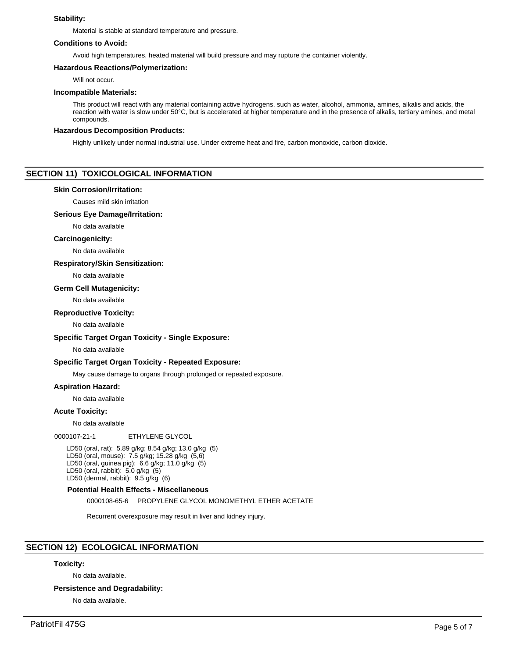# **Stability:**

Material is stable at standard temperature and pressure.

## **Conditions to Avoid:**

Avoid high temperatures, heated material will build pressure and may rupture the container violently.

## **Hazardous Reactions/Polymerization:**

Will not occur.

#### **Incompatible Materials:**

This product will react with any material containing active hydrogens, such as water, alcohol, ammonia, amines, alkalis and acids, the reaction with water is slow under 50°C, but is accelerated at higher temperature and in the presence of alkalis, tertiary amines, and metal compounds.

#### **Hazardous Decomposition Products:**

Highly unlikely under normal industrial use. Under extreme heat and fire, carbon monoxide, carbon dioxide.

# **SECTION 11) TOXICOLOGICAL INFORMATION**

#### **Skin Corrosion/Irritation:**

Causes mild skin irritation

## **Serious Eye Damage/Irritation:**

No data available

## **Carcinogenicity:**

No data available

#### **Respiratory/Skin Sensitization:**

No data available

#### **Germ Cell Mutagenicity:**

No data available

#### **Reproductive Toxicity:**

No data available

# **Specific Target Organ Toxicity - Single Exposure:**

## No data available

## **Specific Target Organ Toxicity - Repeated Exposure:**

May cause damage to organs through prolonged or repeated exposure.

## **Aspiration Hazard:**

No data available

## **Acute Toxicity:**

No data available

0000107-21-1 ETHYLENE GLYCOL

LD50 (oral, rat): 5.89 g/kg; 8.54 g/kg; 13.0 g/kg (5) LD50 (oral, mouse): 7.5 g/kg; 15.28 g/kg (5,6) LD50 (oral, guinea pig): 6.6 g/kg; 11.0 g/kg (5) LD50 (oral, rabbit): 5.0 g/kg (5) LD50 (dermal, rabbit): 9.5 g/kg (6)

#### **Potential Health Effects - Miscellaneous**

0000108-65-6 PROPYLENE GLYCOL MONOMETHYL ETHER ACETATE

Recurrent overexposure may result in liver and kidney injury.

# **SECTION 12) ECOLOGICAL INFORMATION**

## **Toxicity:**

No data available.

**Persistence and Degradability:**

No data available.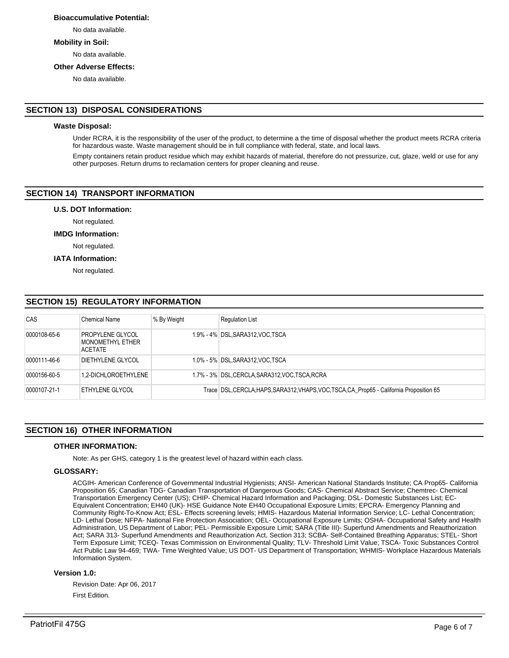# **Bioaccumulative Potential:**

No data available.

# **Mobility in Soil:**

No data available.

#### **Other Adverse Effects:**

No data available.

# **SECTION 13) DISPOSAL CONSIDERATIONS**

# **Waste Disposal:**

Under RCRA, it is the responsibility of the user of the product, to determine a the time of disposal whether the product meets RCRA criteria for hazardous waste. Waste management should be in full compliance with federal, state, and local laws.

Empty containers retain product residue which may exhibit hazards of material, therefore do not pressurize, cut, glaze, weld or use for any other purposes. Return drums to reclamation centers for proper cleaning and reuse.

# **SECTION 14) TRANSPORT INFORMATION**

#### **U.S. DOT Information:**

Not regulated.

#### **IMDG Information:**

Not regulated.

# **IATA Information:**

Not regulated.

# **SECTION 15) REGULATORY INFORMATION**

| CAS          | <b>Chemical Name</b>                            | % By Weight | <b>Requlation List</b>                                                                    |
|--------------|-------------------------------------------------|-------------|-------------------------------------------------------------------------------------------|
| 0000108-65-6 | PROPYLENE GLYCOL<br>MONOMETHYL ETHER<br>ACETATE |             | 1.9% - 4% DSL, SARA312, VOC, TSCA                                                         |
| 0000111-46-6 | DIETHYLENE GLYCOL                               |             | 1.0% - 5% DSL, SARA312, VOC, TSCA                                                         |
| 0000156-60-5 | 1.2-DICHLOROETHYLENE                            |             | 1.7% - 3% DSL, CERCLA, SARA312, VOC, TSCA, RCRA                                           |
| 0000107-21-1 | ETHYLENE GLYCOL                                 |             | Trace DSL, CERCLA, HAPS, SARA312, VHAPS, VOC, TSCA, CA Prop65 - California Proposition 65 |

# **SECTION 16) OTHER INFORMATION**

## **OTHER INFORMATION:**

Note: As per GHS, category 1 is the greatest level of hazard within each class.

## **GLOSSARY:**

ACGIH- American Conference of Governmental Industrial Hygienists; ANSI- American National Standards Institute; CA Prop65- California Proposition 65; Canadian TDG- Canadian Transportation of Dangerous Goods; CAS- Chemical Abstract Service; Chemtrec- Chemical Transportation Emergency Center (US); CHIP- Chemical Hazard Information and Packaging; DSL- Domestic Substances List; EC-Equivalent Concentration; EH40 (UK)- HSE Guidance Note EH40 Occupational Exposure Limits; EPCRA- Emergency Planning and Community Right-To-Know Act; ESL- Effects screening levels; HMIS- Hazardous Material Information Service; LC- Lethal Concentration; LD- Lethal Dose; NFPA- National Fire Protection Association; OEL- Occupational Exposure Limits; OSHA- Occupational Safety and Health Administration, US Department of Labor; PEL- Permissible Exposure Limit; SARA (Title III)- Superfund Amendments and Reauthorization Act; SARA 313- Superfund Amendments and Reauthorization Act, Section 313; SCBA- Self-Contained Breathing Apparatus; STEL- Short Term Exposure Limit; TCEQ- Texas Commission on Environmental Quality; TLV- Threshold Limit Value; TSCA- Toxic Substances Control Act Public Law 94-469; TWA- Time Weighted Value; US DOT- US Department of Transportation; WHMIS- Workplace Hazardous Materials Information System.

## **Version 1.0:**

Revision Date: Apr 06, 2017 First Edition.